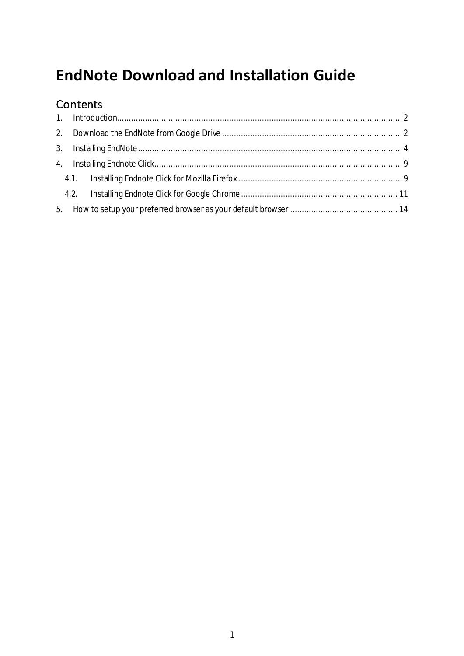# **EndNote Download and Installation Guide**

## Contents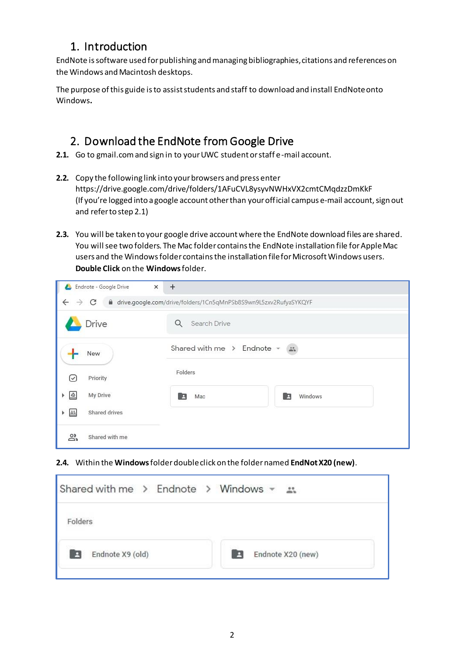### <span id="page-1-0"></span>1. Introduction

EndNote is software used for publishing and managing bibliographies, citations and references on the Windows and Macintosh desktops.

The purpose of this guide is to assist students and staff to download and install EndNoteonto Windows**.**

### <span id="page-1-1"></span>2. Download the EndNote from Google Drive

- **2.1.** Go to gmail.com and sign in to your UWC student or staff e-mail account.
- **2.2.** Copy the following link into your browsers and press enter [https://drive.google.com/drive/folders/1AFuCVL8ysyvNWHxVX2cmtCMqdz](https://drive.google.com/open?id=1Cn5qMnPSb8S9wn9L5zxv2RufyaSYKQYF)[zDmKkF](https://drive.google.com/drive/folders/1AFuCVL8ysyvNWHxVX2cmtCMqdzzDmKkF?usp=sharing) (If you're logged into a google account other than your official campus e-mail account, sign out and refer to step 2.1)
- **2.3.** You will be taken to your google drive account where the EndNote download files are shared. You will see two folders. The Mac folder contains the EndNote installation file for Apple Mac users and the Windows folder contains the installation file for Microsoft Windows users. **Double Click** on the **Windows**folder.

| Endnote - Google Drive<br>$\times$       | $+$                                                                 |
|------------------------------------------|---------------------------------------------------------------------|
| $\leftarrow$ $\rightarrow$ C             | di drive.google.com/drive/folders/1Cn5qMnPSb8S9wn9L5zxv2RufyaSYKQYF |
| <b>Drive</b>                             | Q<br>Search Drive                                                   |
| New                                      | Shared with me $\rightarrow$ Endnote $\sim$<br>$\frac{88}{200}$     |
| Priority<br>(✓                           | Folders                                                             |
| $\triangle$<br>My Drive<br>Þ.            | Windows<br>Mac<br>E<br>B                                            |
| Shared drives<br>$\frac{2.5}{1.5}$<br>Þ. |                                                                     |
| ది<br>Shared with me                     |                                                                     |

#### **2.4.** Within the **Windows**folder double click on the folder named **EndNotX20 (new)**.

| Shared with me $\rightarrow$ Endnote $\rightarrow$ Windows $\sim$ $\rightarrow$ |                   |
|---------------------------------------------------------------------------------|-------------------|
| Folders                                                                         |                   |
| Endnote X9 (old)                                                                | Endnote X20 (new) |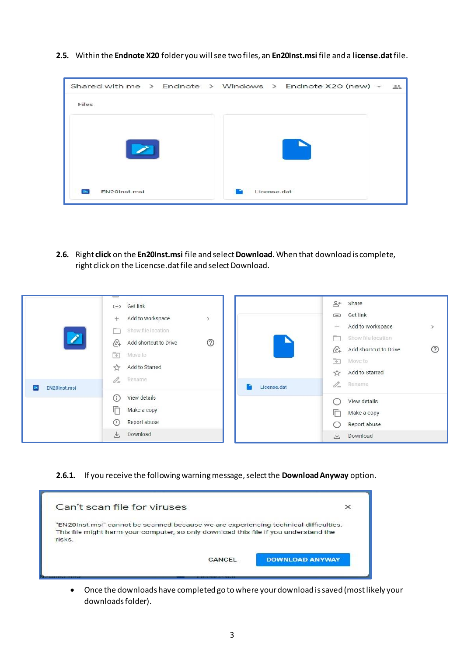**2.5.** Within the **Endnote X20** folder you will see two files, an **En20Inst.msi** file and a **license.dat**file.



**2.6.** Right **click** on the **En20Inst.msi** file and select **Download**.When that download is complete, right click on the Licencse.dat file and select Download.

| EN20Inst.msi | Get link<br>GD<br>Add to workspace<br>$\mathcal{P}$<br>$^{+}$<br>Show file location<br>℗<br>P<br>Add shortcut to Drive<br>$\langle \mathcal{L} \rangle$<br>$\Rightarrow$<br>Move to<br>Add to Starred<br>$\frac{1}{2}$<br>Rename<br>$\mathscr{O}_{\!=\!}$<br>License.dat | $\mathring{\Xi}^+$<br>Share<br>Get link<br>G<br>Add to workspace<br>$+$<br>Show file location<br>(2)<br>Add shortcut to Drive<br>$\langle \mathcal{L} \rangle$<br>$\rightarrow$<br>Move to<br>Add to Starred<br>☆<br>0-<br>Rename |
|--------------|--------------------------------------------------------------------------------------------------------------------------------------------------------------------------------------------------------------------------------------------------------------------------|-----------------------------------------------------------------------------------------------------------------------------------------------------------------------------------------------------------------------------------|
|              | ⋒<br>View details<br>厅<br>Make a copy<br>Report abuse<br>$(\Gamma)$<br>Download<br>也                                                                                                                                                                                     | View details<br>⋒<br>Make a copy<br>lП<br>Report abuse<br>$\left( \left  \cdot \right  \right)$<br>Download<br>₩.                                                                                                                 |

#### **2.6.1.** If you receive the following warning message, select the **Download Anyway** option.

| Can't scan file for viruses                                                                                                                                                  | $\times$ |
|------------------------------------------------------------------------------------------------------------------------------------------------------------------------------|----------|
| "EN20Inst.msi" cannot be scanned because we are experiencing technical difficulties.<br>This file might harm your computer, so only download this file if you understand the |          |
| risks.                                                                                                                                                                       |          |

• Once the downloads have completed go to where your download is saved (most likely your downloads folder).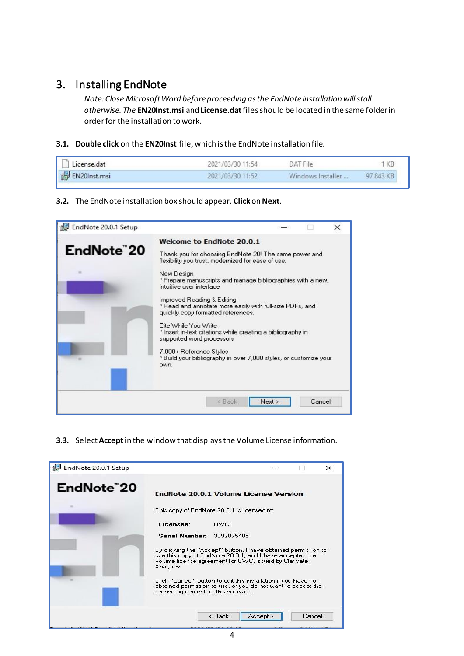### <span id="page-3-0"></span>3. Installing EndNote

*Note: Close Microsoft Word before proceeding as the EndNote installation will stall otherwise. The* **EN20Inst.msi** and **License.dat**files should be located in the same folder in order for the installation to work.

**3.1. Double click** on the **EN20Inst** file, which is the EndNote installation file.

| License.dat           | 2021/03/30 11:54 | DAT File          | KB        |
|-----------------------|------------------|-------------------|-----------|
| <b>B</b> EN20Inst.msi | 2021/03/30 11:52 | Windows Installer | 97 843 KB |

#### **3.2.** The EndNote installation box should appear. **Click**on **Next**.



**3.3.** Select **Accept**in the window that displays the Volume License information.

| EndNote 20.0.1 Setup    | $\times$                                                                                                                                                                                          |
|-------------------------|---------------------------------------------------------------------------------------------------------------------------------------------------------------------------------------------------|
| EndNote <sup>"</sup> 20 | <b>EndNote 20.0.1 Volume License Version</b>                                                                                                                                                      |
|                         | This copy of EndNote 20.0.1 is licensed to:                                                                                                                                                       |
|                         | Licensee:<br><b>LIWC</b>                                                                                                                                                                          |
|                         | <b>Serial Number: 3092075485</b>                                                                                                                                                                  |
|                         | By clicking the "Accept" button, I have obtained permission to<br>use this copy of EndNote 20.0.1, and I have accepted the<br>volume license agreement for UWC, issued by Clarivate<br>Analytics. |
|                         | Click "Cancel" button to quit this installation if you have not<br>obtained permission to use, or you do not want to accept the<br>license agreement for this software.                           |
|                         | $<$ Back<br>Accept ><br>Cancel                                                                                                                                                                    |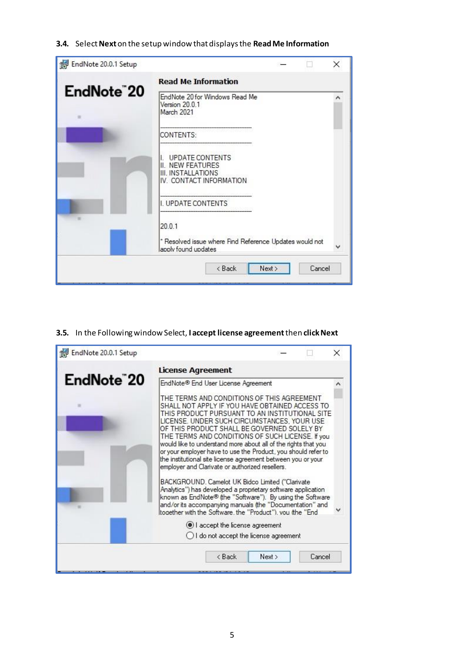#### **3.4.** Select **Next** on the setup window that displays the **Read Me Information**

| EndNote 20.0.1 Setup |                                                                                              |        |        | × |
|----------------------|----------------------------------------------------------------------------------------------|--------|--------|---|
| EndNote"20           | <b>Read Me Information</b><br>EndNote 20 for Windows Read Me<br>Version 20.0.1<br>March 2021 |        |        |   |
|                      | CONTENTS:<br>UPDATE CONTENTS<br>II. NEW FEATURES                                             |        |        |   |
|                      | III. INSTALLATIONS<br>IV. CONTACT INFORMATION<br>I. UPDATE CONTENTS                          |        |        |   |
|                      | 20.0.1<br>* Resolved issue where Find Reference Updates would not<br>apply found updates     |        |        |   |
|                      | < Back                                                                                       | Next > | Cancel |   |

#### **3.5.** In the Following window Select, **I accept license agreement** then **click Next**

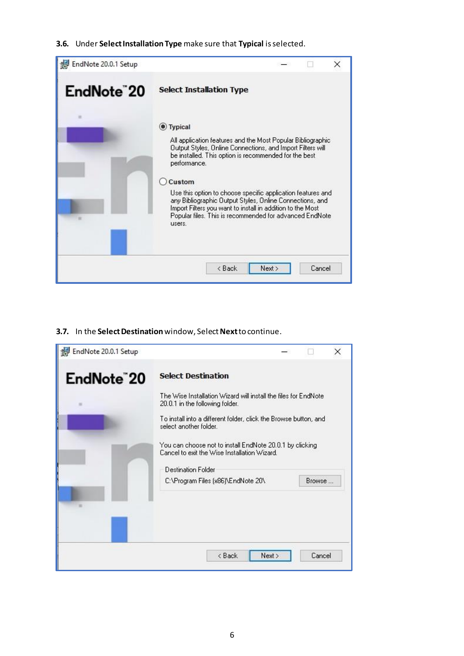#### **3.6.** Under **Select Installation Type** make sure that **Typical** is selected.



#### **3.7.** In the **Select Destination**window, Select**Next**to continue.

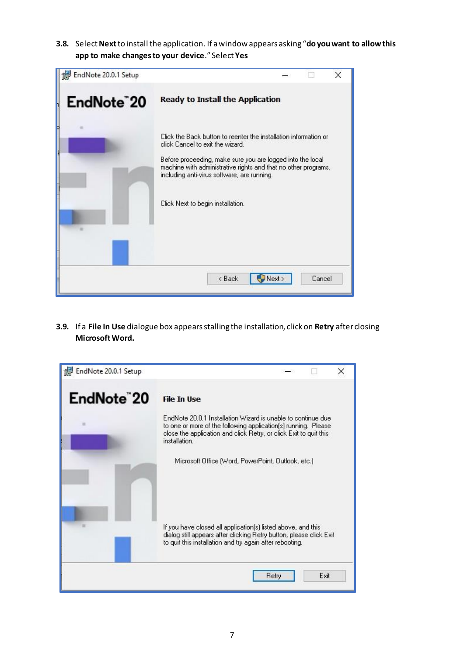**3.8.** Select **Next**to install the application. If a window appears asking "**do you want to allow this app to make changes to your device**." Select **Yes**



**3.9.** If a **File In Use** dialogue box appears stalling the installation, click on **Retry** after closing **Microsoft Word.**

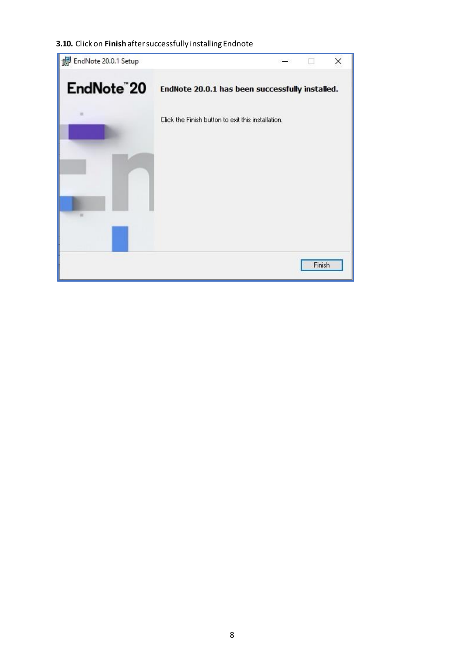#### **3.10.** Click on **Finish** after successfully installing Endnote

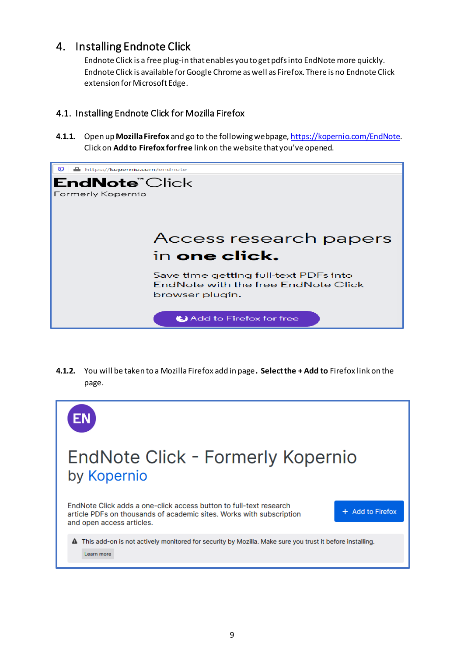### <span id="page-8-0"></span>4. Installing Endnote Click

Endnote Click is a free plug-in that enables you to get pdfs into EndNote more quickly. Endnote Click is available for Google Chrome as well as Firefox. There is no Endnote Click extension for Microsoft Edge.

### <span id="page-8-1"></span>4.1. Installing Endnote Click for Mozilla Firefox

**4.1.1.** Open up **Mozilla Firefox** and go to the following webpage[, https://kopernio.com/EndNote](https://kopernio.com/endnote). Click on **Add to Firefox for free** link on the website that you've opened.



**4.1.2.** You will be taken to a Mozilla Firefox add in page**. Select the + Add to** Firefox link on the page.

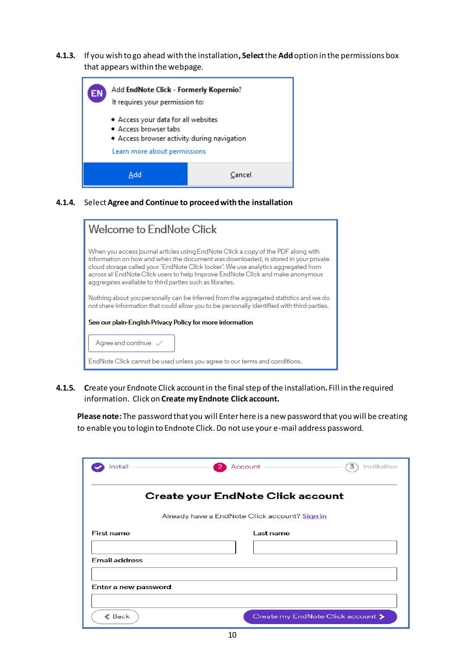**4.1.3.** If you wish to go ahead with the installation**, Select** the **Add** option in the permissions box that appears within the webpage.

| EN | Add <b>EndNote Click - Formerly Kopernio</b> ?<br>It requires your permission to:<br>• Access your data for all websites<br>• Access browser tabs<br>• Access browser activity during navigation<br>Learn more about permissions |  |
|----|----------------------------------------------------------------------------------------------------------------------------------------------------------------------------------------------------------------------------------|--|
|    | Cancel<br>Add                                                                                                                                                                                                                    |  |

**4.1.4.** Select**Agree and Continue to proceed with the installation**

| Welcome to EndNote Click                                                                                                                                                                                                                                                                                                                                                                                     |  |  |
|--------------------------------------------------------------------------------------------------------------------------------------------------------------------------------------------------------------------------------------------------------------------------------------------------------------------------------------------------------------------------------------------------------------|--|--|
| When you access journal articles using EndNote Click a copy of the PDF along with<br>information on how and when the document was downloaded, is stored in your private<br>cloud storage called your 'EndNote Click locker'. We use analytics aggregated from<br>across all EndNote Click users to help improve EndNote Click and make anonymous<br>aggregates available to third parties such as libraries. |  |  |
| Nothing about you personally can be inferred from the aggregated statistics and we do<br>not share information that could allow you to be personally identified with third-parties.                                                                                                                                                                                                                          |  |  |
| See our plain-English Privacy Policy for more information                                                                                                                                                                                                                                                                                                                                                    |  |  |
| Agree and continue $\sqrt{}$                                                                                                                                                                                                                                                                                                                                                                                 |  |  |
| EndNote Click cannot be used unless you agree to our terms and conditions.                                                                                                                                                                                                                                                                                                                                   |  |  |

**4.1.5. C**reate your Endnote Click accountin the final step of the installation**.** Fill in the required information. Click on **Create my Endnote Click account.**

**Please note:** The password that you will Enter here is a new password that you will be creating to enable you to login to Endnote Click. Do not use your e-mail address password.

| Install              | Account -<br>-21                              | 3<br>Institution                  |
|----------------------|-----------------------------------------------|-----------------------------------|
|                      | <b>Create your EndNote Click account</b>      |                                   |
|                      | Already have a EndNote Click account? Sign in |                                   |
| <b>First name</b>    | Last name                                     |                                   |
|                      |                                               |                                   |
| <b>Email address</b> |                                               |                                   |
|                      |                                               |                                   |
| Enter a new password |                                               |                                   |
|                      |                                               |                                   |
| $\triangle$ Back     |                                               | Create my EndNote Click account > |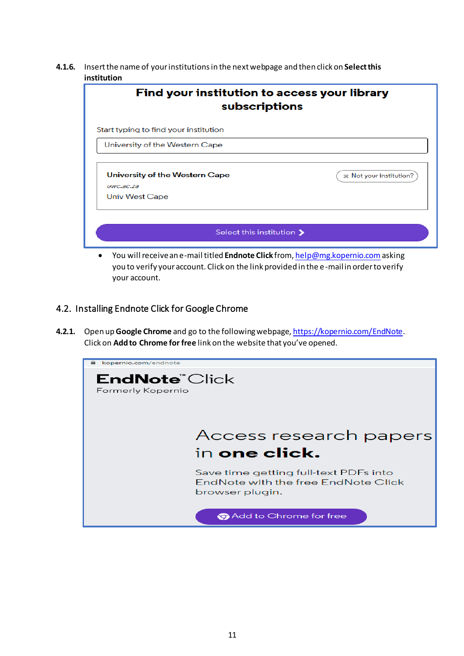**4.1.6.** Insert the name of your institutions in the next webpage and then click on **Select this institution**

| Find your institution to access your library<br>subscriptions        |                         |  |  |  |  |
|----------------------------------------------------------------------|-------------------------|--|--|--|--|
| Start typing to find your institution                                |                         |  |  |  |  |
| University of the Western Cape                                       |                         |  |  |  |  |
| University of the Western Cape<br>$UWC$ .a $C$ .za<br>Univ West Cape | * Not your institution? |  |  |  |  |
| Select this institution $\blacktriangleright$                        |                         |  |  |  |  |

• You will receive an e-mail titled **Endnote Click** from, [help@mg.kopernio.com](mailto:help@mg.kopernio.com)asking you to verify your account. Click on the link provided in the e-mail in order to verify your account.

#### <span id="page-10-0"></span>4.2. Installing Endnote Click for Google Chrome

**4.2.1.** Open up **Google Chrome** and go to the following webpage[, https://kopernio.com/EndNote](https://kopernio.com/endnote). Click on **Add to Chrome for free** link on the website that you've opened.

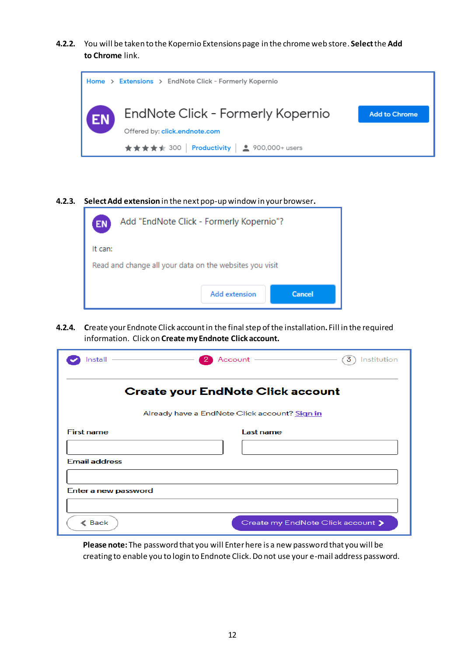**4.2.2.** You will be taken to the Kopernio Extensions page in the chrome web store. **Select** the **Add to Chrome** link.



**4.2.3. Select Add extension** in the next pop-up window in your browser**.**

| Add "EndNote Click - Formerly Kopernio"?<br><b>EN</b>   |                      |        |  |  |  |
|---------------------------------------------------------|----------------------|--------|--|--|--|
| It can:                                                 |                      |        |  |  |  |
| Read and change all your data on the websites you visit |                      |        |  |  |  |
|                                                         | <b>Add extension</b> | Cancel |  |  |  |

**4.2.4. C**reate your Endnote Click accountin the final step of the installation**.** Fill in the required information. Click on **Create my Endnote Click account.**

| Install                                                           | Account -<br>$2^{\circ}$ | 3<br>Institution                  |  |  |  |  |
|-------------------------------------------------------------------|--------------------------|-----------------------------------|--|--|--|--|
| <b>Create your EndNote Click account</b>                          |                          |                                   |  |  |  |  |
| Already have a EndNote Click account? Sign in                     |                          |                                   |  |  |  |  |
| <b>First name</b><br><b>Email address</b><br>Enter a new password | Last name                |                                   |  |  |  |  |
| $\triangle$ Back                                                  |                          | Create my EndNote Click account > |  |  |  |  |

**Please note:** The password that you will Enter here is a new password that you will be creating to enable you to login to Endnote Click. Do not use your e-mail address password.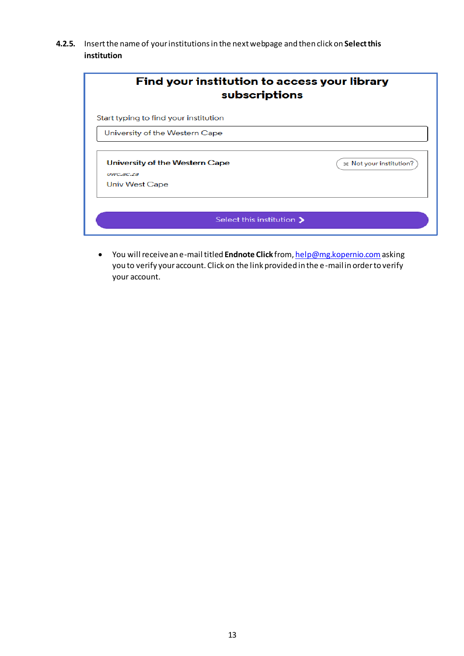**4.2.5.** Insert the name of your institutions in the next webpage and then click on **Select this institution**

| Find your institution to access your library<br>subscriptions                                                             |                         |
|---------------------------------------------------------------------------------------------------------------------------|-------------------------|
| Start typing to find your institution                                                                                     |                         |
| University of the Western Cape                                                                                            |                         |
| University of the Western Cape<br>$UWC$ , $\overline{a}$ $\overline{c}$ , $\overline{z}$ $\overline{a}$<br>Univ West Cape | * Not your institution? |
| Select this institution $\blacktriangleright$                                                                             |                         |

• You will receive an e-mail titled **Endnote Click** from, [help@mg.kopernio.com](mailto:help@mg.kopernio.com)asking you to verify your account. Click on the link provided in the e-mail in order to verify your account.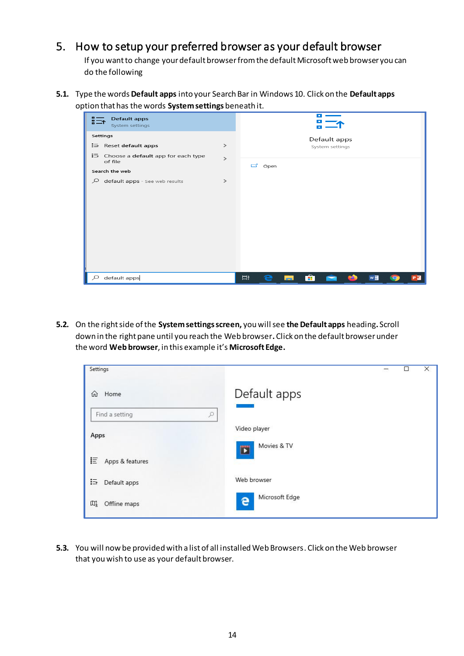### <span id="page-13-0"></span>5. How to setup your preferred browser as your default browser

If you want to change your default browser from the default Microsoft web browser you can do the following

**5.1.** Type the words **Default apps** into your Search Bar in Windows 10. Click on the **Default apps** option that has the words **System settings** beneath it.



**5.2.** On the right side of the **System settings screen,** you will see **the Default apps** heading**.** Scroll down in the right pane until you reach the Web browser**.**Click on the default browser under the word **Web browser**, in this example it's **Microsoft Edge.**

| Settings                    |                     | □ | × |
|-----------------------------|---------------------|---|---|
| ⋒<br>Home                   | Default apps        |   |   |
| Find a setting<br>$\varphi$ |                     |   |   |
| Apps                        | Video player        |   |   |
|                             | Movies & TV<br>E    |   |   |
| 巨<br>Apps & features        |                     |   |   |
| 這<br>Default apps           | Web browser         |   |   |
| 吅<br>Offline maps           | Microsoft Edge<br>e |   |   |

**5.3.** You will now be provided with a list of all installed Web Browsers. Click on the Web browser that you wish to use as your default browser.